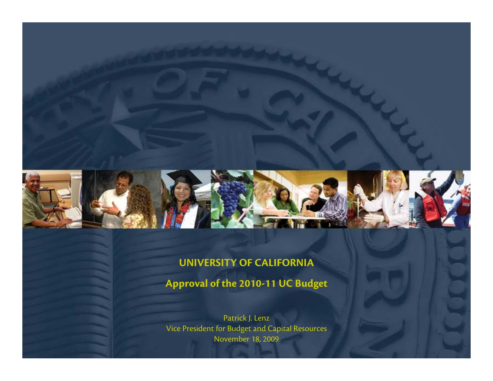

#### **UNIVERSITY OF CALIFORNIA**

**Approval of the 2010-11 UC Budget**

Patrick J. Lenz Vice President for Budget and Capital Resources November 18, 2009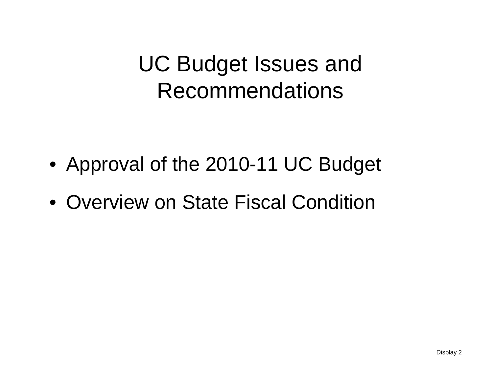UC Budget Issues and Recommendations

- Approval of the 2010-11 UC Budget
- Overview on State Fiscal Condition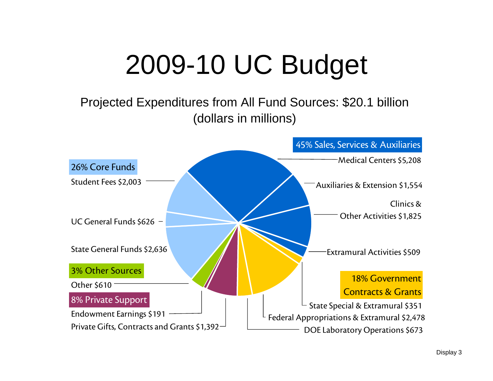# 2009-10 UC Budget

Projected Expenditures from All Fund Sources: \$20.1 billion (dollars in millions)

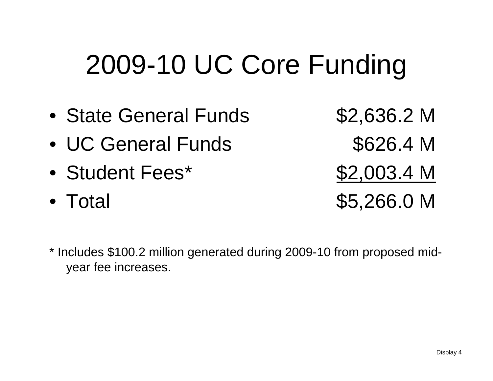# 2009-10 UC Core Funding

- •State General Funds \$2,636.2 M
- $\bullet$ UC General Funds \$626.4 M
- Student Fees\*
- Total

 $$2,003.4 M$ \$5,266.0 M

\* Includes \$100.2 million generated during 2009-10 from proposed midyear fee increases.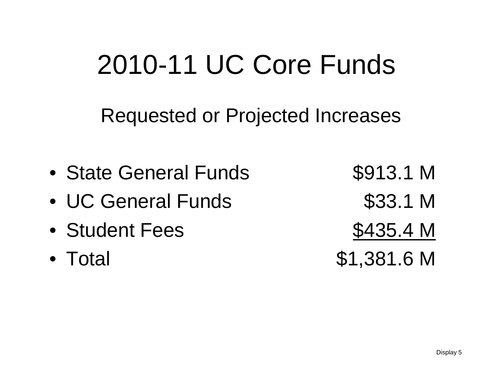# 2010-11 UC Core Funds

Requested or Projected Increases

- •State General Funds \$913.1 M
- •UC General Funds \$33.1 M
- $\bullet$ Student Fees

Student 1977
- Total

\$1,381.6 M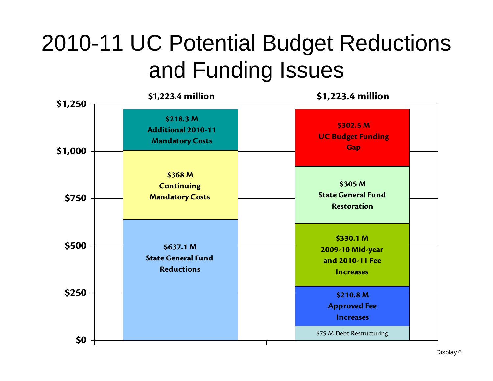## 2010-11 UC Potential Budget Reductions and Funding Issues

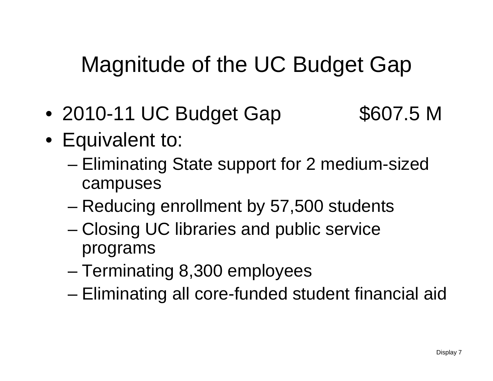### Magnitude of the UC Budget Gap

- $\bullet$ 2010-11 UC Budget Gap \$607.5 M
- Equivalent to:
	- – Eliminating State support for 2 medium-sized campuses
	- Reducing enrollment by 57,500 students
	- – Closing UC libraries and public service programs
	- Terminating 8,300 employees
	- –Eliminating all core-funded student financial aid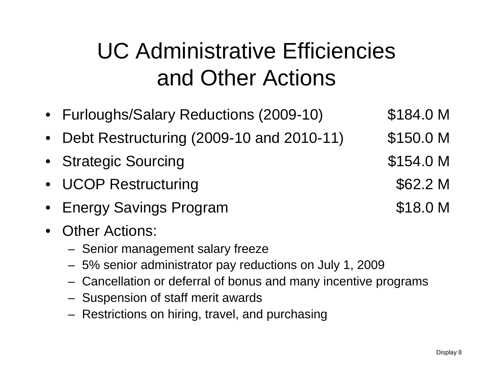# UC Administrative Efficiencies and Other Actions

- Furloughs/Salary Reductions (2009-10) \$184.0 M
- •Debt Restructuring (2009-10 and 2010-11) \$150.0 M
- Strategic Sourcing \$154.0 M
- UCOP Restructuring \$62.2 M
- Energy Savings Program **\$18.0 M**
- • Other Actions:
	- Senior management salary freeze
	- 5% senior administrator pay reductions on July 1, 2009
	- Cancellation or deferral of bonus and many incentive programs
	- Suspension of staff merit awards
	- Restrictions on hiring, travel, and purchasing

- -
	-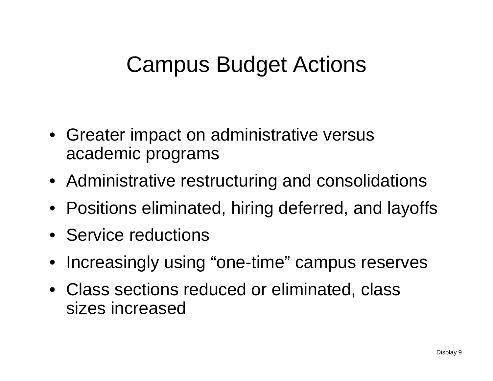### Campus Budget Actions

- Greater impact on administrative versus academic programs
- Administrative restructuring and consolidations
- Positions eliminated, hiring deferred, and layoffs
- Service reductions
- Increasingly using "one-time" campus reserves
- Class sections reduced or eliminated, class sizes increased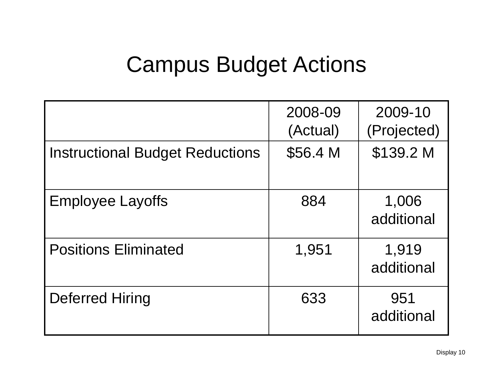### Campus Budget Actions

|                                        | 2008-09<br>(Actual) | 2009-10<br>(Projected) |
|----------------------------------------|---------------------|------------------------|
| <b>Instructional Budget Reductions</b> | \$56.4 M            | \$139.2 M              |
| <b>Employee Layoffs</b>                | 884                 | 1,006<br>additional    |
| <b>Positions Eliminated</b>            | 1,951               | 1,919<br>additional    |
| Deferred Hiring                        | 633                 | 951<br>additional      |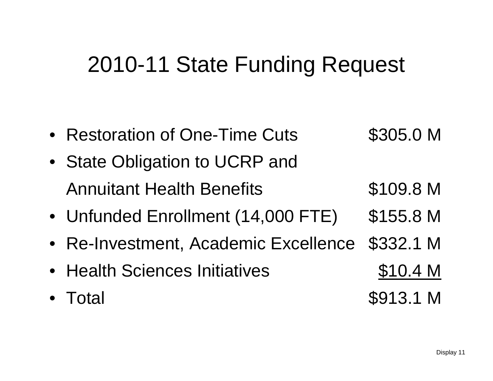### 2010-11 State Funding Request

- Restoration of One-Time Cuts \$305.0 M • State Obligation to UCRP and
- Annuitant Health Benefits **\$109.8 M**
- Unfunded Enrollment (14,000 FTE) \$155.8 M
- Re-Investment, Academic Excellence \$332.1 M
- Health Sciences Initiatives **\$10.4 M**
- Total
- 
- \$913.1 M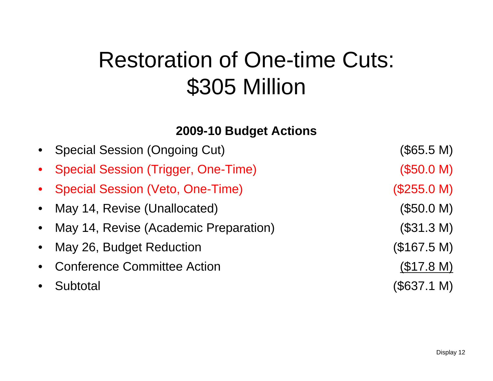### Restoration of One-time Cuts: \$305 Million

#### **2009-10 Budget Actions**

| • Special Session (Ongoing Cut)         | (\$65.5 M)  |
|-----------------------------------------|-------------|
| • Special Session (Trigger, One-Time)   | (\$50.0 M)  |
| • Special Session (Veto, One-Time)      | (\$255.0 M) |
| • May 14, Revise (Unallocated)          | (\$50.0 M)  |
| • May 14, Revise (Academic Preparation) | (\$31.3 M)  |
| • May 26, Budget Reduction              | (\$167.5 M) |
| • Conference Committee Action           | (\$17.8 M)  |
| • Subtotal                              | (\$637.1 M) |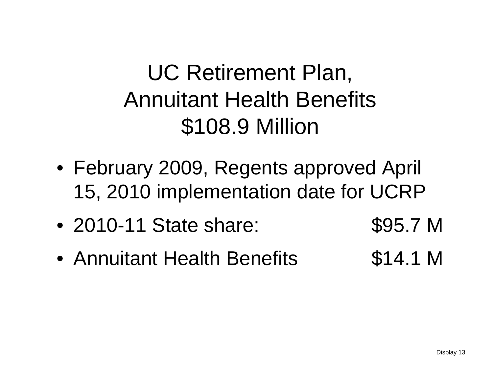## UC Retirement Plan, Annuitant Health Benefits \$108.9 Million

- February 2009, Regents approved April 15, 2010 implementation date for UCRP
- $\bullet$ 2010-11 State share: \$95.7 M
- •Annuitant Health Benefits **\$14.1 M**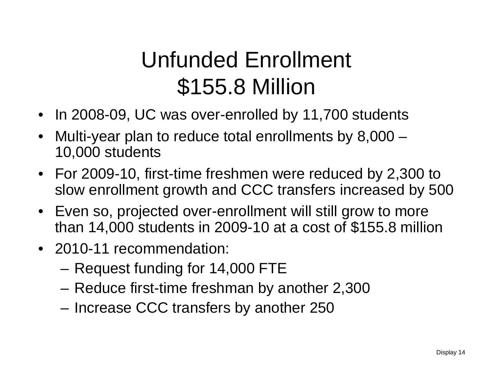# Unfunded Enrollment \$155.8 Million

- $\bullet$ In 2008-09, UC was over-enrolled by 11,700 students
- $\bullet$  Multi-year plan to reduce total enrollments by 8,000 – 10,000 students
- For 2009-10, first-time freshmen were reduced by 2,300 to slow enrollment growth and CCC transfers increased by 500
- Even so, projected over-enrollment will still grow to more than 14,000 students in 2009-10 at a cost of \$155.8 million
- 2010-11 recommendation:
	- –Request funding for 14,000 FTE
	- Reduce first-time freshman by another 2,300
	- Increase CCC transfers by another 250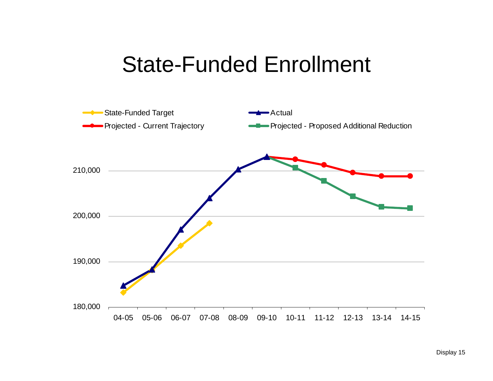### State-Funded Enrollment

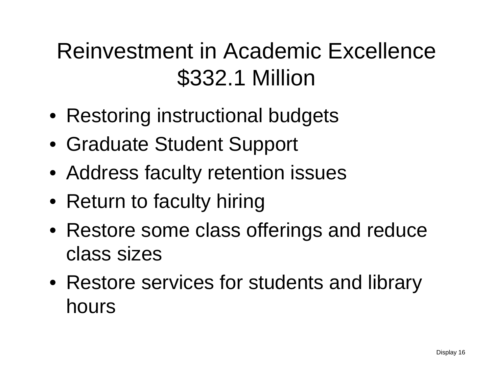## Reinvestment in Academic Excellence\$332.1 Million

- Restoring instructional budgets
- Graduate Student Support
- Address faculty retention issues
- Return to faculty hiring
- Restore some class offerings and reduce class sizes
- Restore services for students and library hours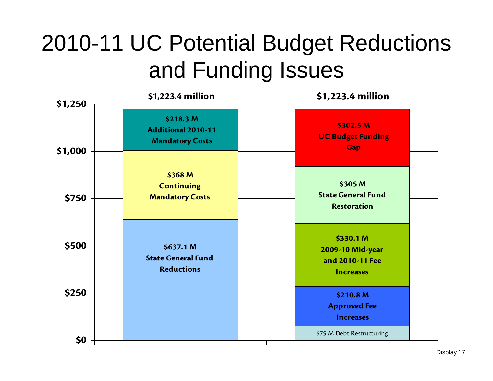## 2010-11 UC Potential Budget Reductions and Funding Issues

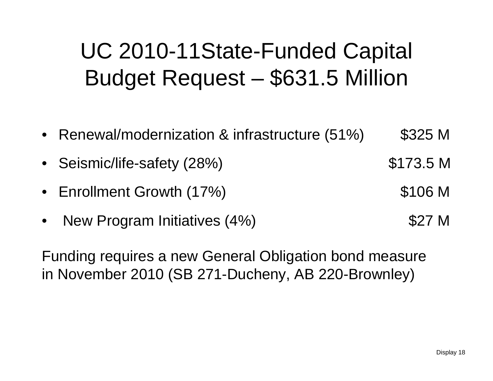## UC 2010-11State-Funded Capital Budget Request – \$631.5 Million

- Renewal/modernization & infrastructure (51%) \$325 M
- Seismic/life-safety (28%) \$173.5 M
- $\bullet$ Enrollment Growth (17%) **\$106 M**
- $\bullet$ New Program Initiatives (4%) **\$27 M**

Funding requires a new General Obligation bond measure in November 2010 (SB 271-Ducheny, AB 220-Brownley)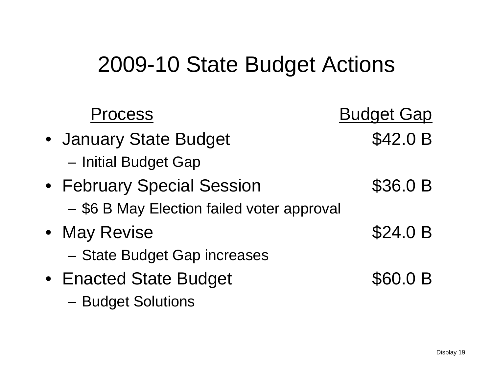### 2009-10 State Budget Actions

| Process                                    | <b>Budget Gap</b> |
|--------------------------------------------|-------------------|
| • January State Budget                     | \$42.0 B          |
| - Initial Budget Gap                       |                   |
| • February Special Session                 | \$36.0 B          |
| - \$6 B May Election failed voter approval |                   |
| • May Revise                               | \$24.0 B          |
| - State Budget Gap increases               |                   |
| • Enacted State Budget                     | \$60.0 B          |
| - Budget Solutions                         |                   |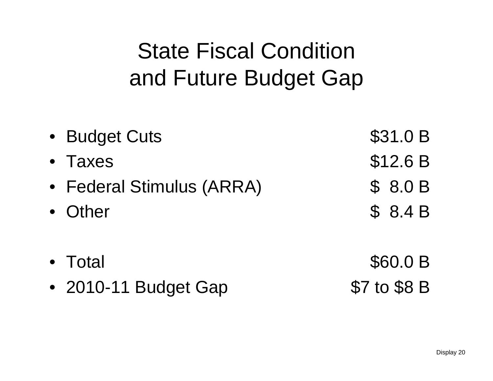## State Fiscal Condition and Future Budget Gap

| \$31.0 B |
|----------|
| \$12.6 B |
| \$8.0B   |
| \$8.4B   |
| \$60.0 B |
|          |

• 2010-11 Budget Gap \$7 to \$8 B